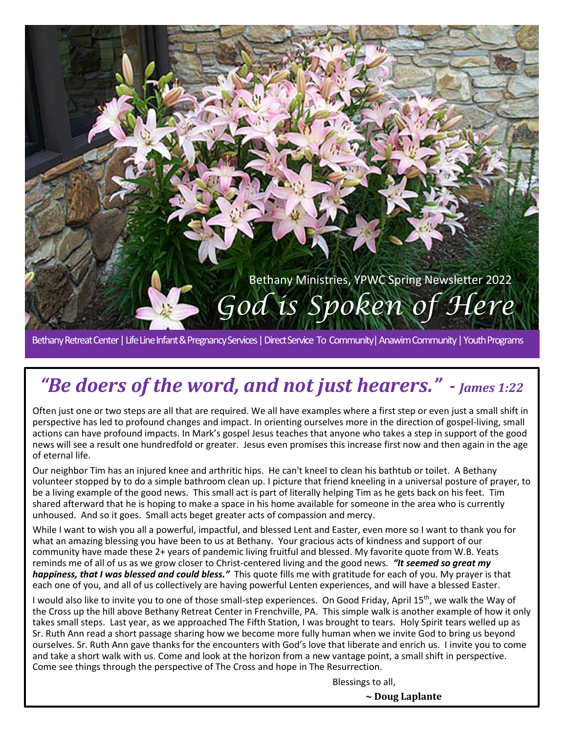

Bethany Retreat Center | Life Line Infant & Pregnancy Services | Direct Service To Community| Anawim Community | Youth Programs

# *"Be doers of the word, and not just hearers." - James 1:22*

Often just one or two steps are all that are required. We all have examples where a first step or even just a small shift in perspective has led to profound changes and impact. In orienting ourselves more in the direction of gospel-living, small actions can have profound impacts. In Mark's gospel Jesus teaches that anyone who takes a step in support of the good news will see a result one hundredfold or greater. Jesus even promises this increase first now and then again in the age of eternal life.

Our neighbor Tim has an injured knee and arthritic hips. He can't kneel to clean his bathtub or toilet. A Bethany volunteer stopped by to do a simple bathroom clean up. I picture that friend kneeling in a universal posture of prayer, to be a living example of the good news. This small act is part of literally helping Tim as he gets back on his feet. Tim shared afterward that he is hoping to make a space in his home available for someone in the area who is currently unhoused. And so it goes. Small acts beget greater acts of compassion and mercy.

While I want to wish you all a powerful, impactful, and blessed Lent and Easter, even more so I want to thank you for what an amazing blessing you have been to us at Bethany. Your gracious acts of kindness and support of our community have made these 2+ years of pandemic living fruitful and blessed. My favorite quote from W.B. Yeats reminds me of all of us as we grow closer to Christ-centered living and the good news. *"It seemed so great my happiness, that I was blessed and could bless."* This quote fills me with gratitude for each of you. My prayer is that each one of you, and all of us collectively are having powerful Lenten experiences, and will have a blessed Easter.

I would also like to invite you to one of those small-step experiences. On Good Friday, April 15<sup>th</sup>, we walk the Way of the Cross up the hill above Bethany Retreat Center in Frenchville, PA. This simple walk is another example of how it only takes small steps. Last year, as we approached The Fifth Station, I was brought to tears. Holy Spirit tears welled up as Sr. Ruth Ann read a short passage sharing how we become more fully human when we invite God to bring us beyond ourselves. Sr. Ruth Ann gave thanks for the encounters with God's love that liberate and enrich us. I invite you to come and take a short walk with us. Come and look at the horizon from a new vantage point, a small shift in perspective. Come see things through the perspective of The Cross and hope in The Resurrection.

Blessings to all,

**~ Doug Laplante**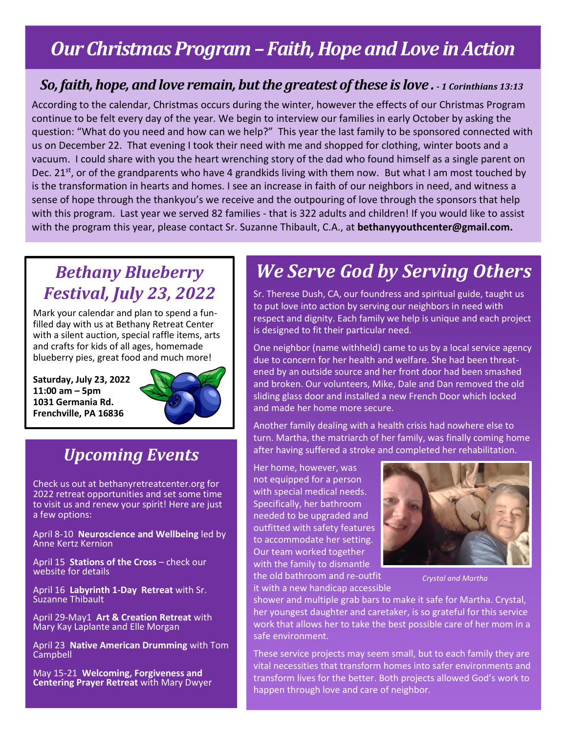# *Our Christmas Program –Faith, Hope and Love in Action*

#### *So, faith, hope, and love remain, but the greatest of these is love . - 1 Corinthians 13:13*

According to the calendar, Christmas occurs during the winter, however the effects of our Christmas Program continue to be felt every day of the year. We begin to interview our families in early October by asking the question: "What do you need and how can we help?" This year the last family to be sponsored connected with us on December 22. That evening I took their need with me and shopped for clothing, winter boots and a vacuum. I could share with you the heart wrenching story of the dad who found himself as a single parent on Dec. 21<sup>st</sup>, or of the grandparents who have 4 grandkids living with them now. But what I am most touched by is the transformation in hearts and homes. I see an increase in faith of our neighbors in need, and witness a sense of hope through the thankyou's we receive and the outpouring of love through the sponsors that help with this program. Last year we served 82 families - that is 322 adults and children! If you would like to assist with the program this year, please contact Sr. Suzanne Thibault, C.A., at **bethanyyouthcenter@gmail.com.**

#### *Bethany Blueberry Festival, July 23, 2022*

Mark your calendar and plan to spend a funfilled day with us at Bethany Retreat Center with a silent auction, special raffle items, arts and crafts for kids of all ages, homemade blueberry pies, great food and much more!

**Saturday, July 23, 2022 11:00 am – 5pm 1031 Germania Rd. Frenchville, PA 16836**



#### *Upcoming Events*

Check us out at bethanyretreatcenter.org for 2022 retreat opportunities and set some time to visit us and renew your spirit! Here are just a few options:

April 8-10 **Neuroscience and Wellbeing** led by Anne Kertz Kernion

April 15 **Stations of the Cross** – check our website for details

April 16 **Labyrinth 1-Day Retreat** with Sr. Suzanne Thibault

April 29-May1 **Art & Creation Retreat** with Mary Kay Laplante and Elle Morgan

April 23 **Native American Drumming** with Tom Campbell

May 15-21 **Welcoming, Forgiveness and Centering Prayer Retreat** with Mary Dwyer

# *We Serve God by Serving Others*

Sr. Therese Dush, CA, our foundress and spiritual guide, taught us to put love into action by serving our neighbors in need with respect and dignity. Each family we help is unique and each project is designed to fit their particular need.

One neighbor (name withheld) came to us by a local service agency due to concern for her health and welfare. She had been threatened by an outside source and her front door had been smashed and broken. Our volunteers, Mike, Dale and Dan removed the old sliding glass door and installed a new French Door which locked and made her home more secure.

Another family dealing with a health crisis had nowhere else to turn. Martha, the matriarch of her family, was finally coming home after having suffered a stroke and completed her rehabilitation.

Her home, however, was not equipped for a person with special medical needs. Specifically, her bathroom needed to be upgraded and outfitted with safety features to accommodate her setting. Our team worked together with the family to dismantle the old bathroom and re-outfit



*Crystal and Martha*

it with a new handicap accessible

shower and multiple grab bars to make it safe for Martha. Crystal, her youngest daughter and caretaker, is so grateful for this service work that allows her to take the best possible care of her mom in a safe environment.

These service projects may seem small, but to each family they are vital necessities that transform homes into safer environments and transform lives for the better. Both projects allowed God's work to happen through love and care of neighbor.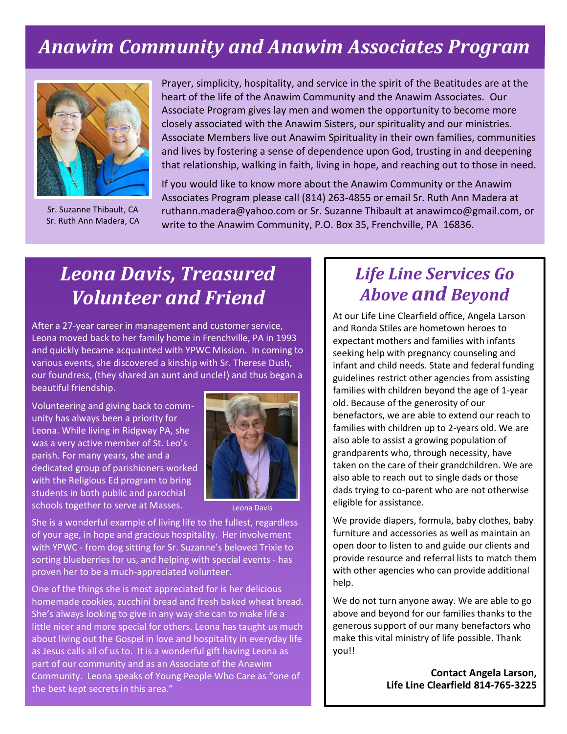# *Anawim Community and Anawim Associates Program*



Sr. Suzanne Thibault, CA Sr. Ruth Ann Madera, CA

Prayer, simplicity, hospitality, and service in the spirit of the Beatitudes are at the heart of the life of the Anawim Community and the Anawim Associates. Our Associate Program gives lay men and women the opportunity to become more closely associated with the Anawim Sisters, our spirituality and our ministries. Associate Members live out Anawim Spirituality in their own families, communities and lives by fostering a sense of dependence upon God, trusting in and deepening that relationship, walking in faith, living in hope, and reaching out to those in need.

If you would like to know more about the Anawim Community or the Anawim Associates Program please call (814) 263-4855 or email Sr. Ruth Ann Madera at ruthann.madera@yahoo.com or Sr. Suzanne Thibault at anawimco@gmail.com, or write to the Anawim Community, P.O. Box 35, Frenchville, PA 16836.

# *Leona Davis, Treasured Volunteer and Friend*

After a 27-year career in management and customer service, Leona moved back to her family home in Frenchville, PA in 1993 and quickly became acquainted with YPWC Mission. In coming to various events, she discovered a kinship with Sr. Therese Dush, our foundress, (they shared an aunt and uncle!) and thus began a beautiful friendship.

Volunteering and giving back to community has always been a priority for Leona. While living in Ridgway PA, she was a very active member of St. Leo's parish. For many years, she and a dedicated group of parishioners worked with the Religious Ed program to bring students in both public and parochial schools together to serve at Masses.



Leona Davis

She is a wonderful example of living life to the fullest, regardless of your age, in hope and gracious hospitality. Her involvement with YPWC - from dog sitting for Sr. Suzanne's beloved Trixie to sorting blueberries for us, and helping with special events - has proven her to be a much-appreciated volunteer.

One of the things she is most appreciated for is her delicious homemade cookies, zucchini bread and fresh baked wheat bread. She's always looking to give in any way she can to make life a little nicer and more special for others. Leona has taught us much about living out the Gospel in love and hospitality in everyday life as Jesus calls all of us to. It is a wonderful gift having Leona as part of our community and as an Associate of the Anawim Community. Leona speaks of Young People Who Care as "one of the best kept secrets in this area."

#### *Life Line Services Go Above and Beyond*

At our Life Line Clearfield office, Angela Larson and Ronda Stiles are hometown heroes to expectant mothers and families with infants seeking help with pregnancy counseling and infant and child needs. State and federal funding guidelines restrict other agencies from assisting families with children beyond the age of 1-year old. Because of the generosity of our benefactors, we are able to extend our reach to families with children up to 2-years old. We are also able to assist a growing population of grandparents who, through necessity, have taken on the care of their grandchildren. We are also able to reach out to single dads or those dads trying to co-parent who are not otherwise eligible for assistance.

We provide diapers, formula, baby clothes, baby furniture and accessories as well as maintain an open door to listen to and guide our clients and provide resource and referral lists to match them with other agencies who can provide additional help.

We do not turn anyone away. We are able to go above and beyond for our families thanks to the generous support of our many benefactors who make this vital ministry of life possible. Thank you!!

> **Contact Angela Larson, Life Line Clearfield 814-765-3225**